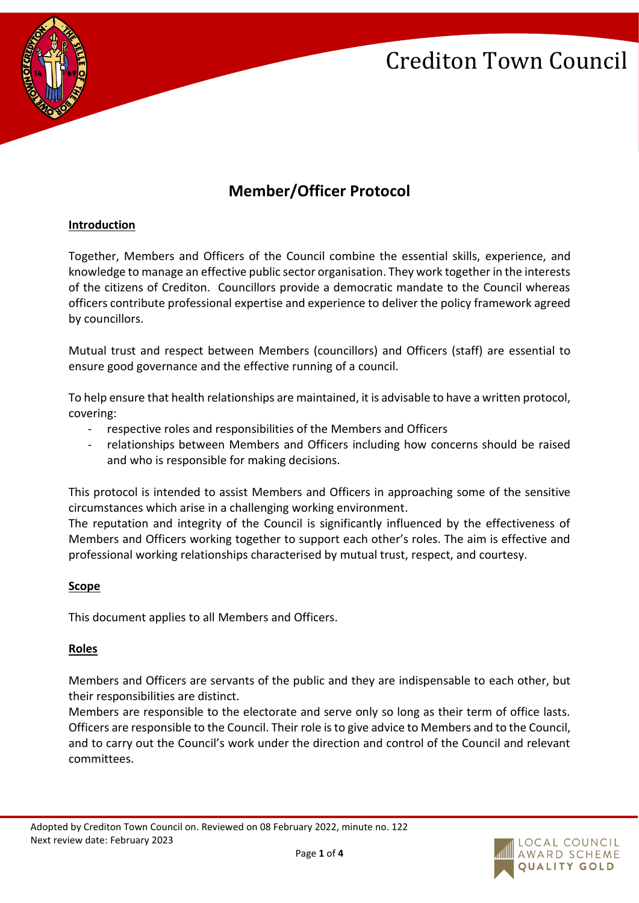

# **Member/Officer Protocol**

# **Introduction**

Together, Members and Officers of the Council combine the essential skills, experience, and knowledge to manage an effective public sector organisation. They work together in the interests of the citizens of Crediton. Councillors provide a democratic mandate to the Council whereas officers contribute professional expertise and experience to deliver the policy framework agreed by councillors.

Mutual trust and respect between Members (councillors) and Officers (staff) are essential to ensure good governance and the effective running of a council.

To help ensure that health relationships are maintained, it is advisable to have a written protocol, covering:

- respective roles and responsibilities of the Members and Officers
- relationships between Members and Officers including how concerns should be raised and who is responsible for making decisions.

This protocol is intended to assist Members and Officers in approaching some of the sensitive circumstances which arise in a challenging working environment.

The reputation and integrity of the Council is significantly influenced by the effectiveness of Members and Officers working together to support each other's roles. The aim is effective and professional working relationships characterised by mutual trust, respect, and courtesy.

# **Scope**

This document applies to all Members and Officers.

# **Roles**

Members and Officers are servants of the public and they are indispensable to each other, but their responsibilities are distinct.

Members are responsible to the electorate and serve only so long as their term of office lasts. Officers are responsible to the Council. Their role is to give advice to Members and to the Council, and to carry out the Council's work under the direction and control of the Council and relevant committees.

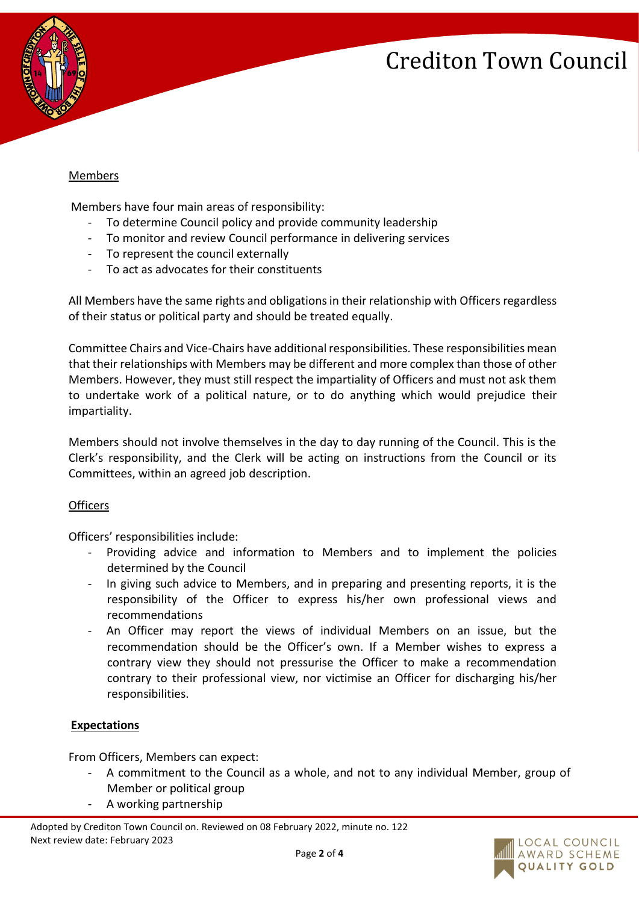

### Members

Members have four main areas of responsibility:

- To determine Council policy and provide community leadership
- To monitor and review Council performance in delivering services
- To represent the council externally
- To act as advocates for their constituents

All Members have the same rights and obligations in their relationship with Officers regardless of their status or political party and should be treated equally.

Committee Chairs and Vice-Chairs have additional responsibilities. These responsibilities mean that their relationships with Members may be different and more complex than those of other Members. However, they must still respect the impartiality of Officers and must not ask them to undertake work of a political nature, or to do anything which would prejudice their impartiality.

Members should not involve themselves in the day to day running of the Council. This is the Clerk's responsibility, and the Clerk will be acting on instructions from the Council or its Committees, within an agreed job description.

# **Officers**

Officers' responsibilities include:

- Providing advice and information to Members and to implement the policies determined by the Council
- In giving such advice to Members, and in preparing and presenting reports, it is the responsibility of the Officer to express his/her own professional views and recommendations
- An Officer may report the views of individual Members on an issue, but the recommendation should be the Officer's own. If a Member wishes to express a contrary view they should not pressurise the Officer to make a recommendation contrary to their professional view, nor victimise an Officer for discharging his/her responsibilities.

#### **Expectations**

From Officers, Members can expect:

- A commitment to the Council as a whole, and not to any individual Member, group of Member or political group
- A working partnership

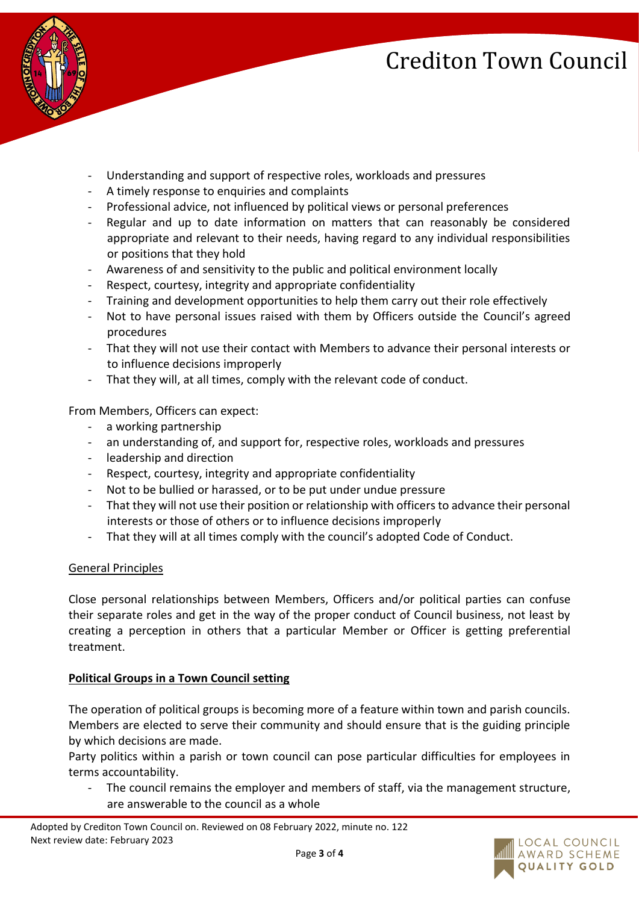

- Understanding and support of respective roles, workloads and pressures
- A timely response to enquiries and complaints
- Professional advice, not influenced by political views or personal preferences
- Regular and up to date information on matters that can reasonably be considered appropriate and relevant to their needs, having regard to any individual responsibilities or positions that they hold
- Awareness of and sensitivity to the public and political environment locally
- Respect, courtesy, integrity and appropriate confidentiality
- Training and development opportunities to help them carry out their role effectively
- Not to have personal issues raised with them by Officers outside the Council's agreed procedures
- That they will not use their contact with Members to advance their personal interests or to influence decisions improperly
- That they will, at all times, comply with the relevant code of conduct.

From Members, Officers can expect:

- a working partnership
- an understanding of, and support for, respective roles, workloads and pressures
- leadership and direction
- Respect, courtesy, integrity and appropriate confidentiality
- Not to be bullied or harassed, or to be put under undue pressure
- That they will not use their position or relationship with officers to advance their personal interests or those of others or to influence decisions improperly
- That they will at all times comply with the council's adopted Code of Conduct.

#### General Principles

Close personal relationships between Members, Officers and/or political parties can confuse their separate roles and get in the way of the proper conduct of Council business, not least by creating a perception in others that a particular Member or Officer is getting preferential treatment.

# **Political Groups in a Town Council setting**

The operation of political groups is becoming more of a feature within town and parish councils. Members are elected to serve their community and should ensure that is the guiding principle by which decisions are made.

Party politics within a parish or town council can pose particular difficulties for employees in terms accountability.

The council remains the employer and members of staff, via the management structure, are answerable to the council as a whole